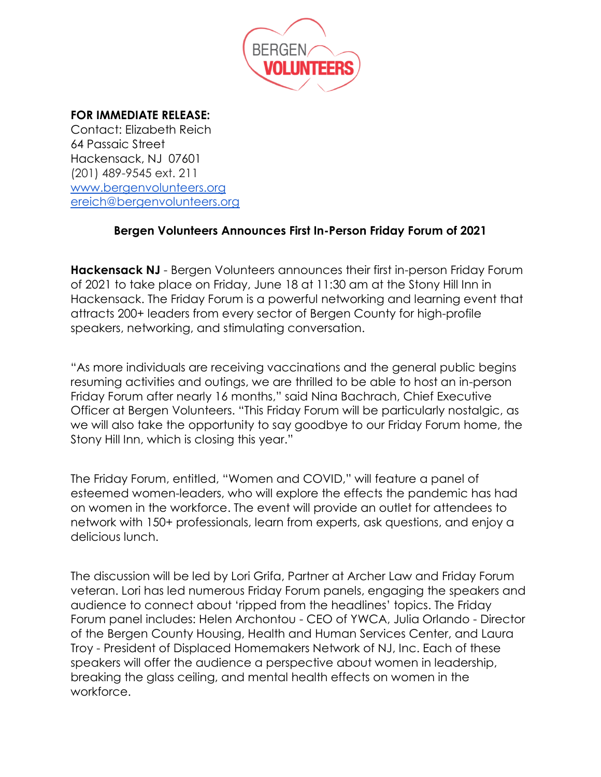

## **FOR IMMEDIATE RELEASE:**

Contact: Elizabeth Reich 64 Passaic Street Hackensack, NJ 07601 (201) 489-9545 ext. 211 [www.bergenvolunteers.org](http://www.bergenvolunteers.org/) [ereich@bergenvolunteers.org](mailto:ereich@bergenvolunteers.org)

## **Bergen Volunteers Announces First In-Person Friday Forum of 2021**

**Hackensack NJ** - Bergen Volunteers announces their first in-person Friday Forum of 2021 to take place on Friday, June 18 at 11:30 am at the Stony Hill Inn in Hackensack. The Friday Forum is a powerful networking and learning event that attracts 200+ leaders from every sector of Bergen County for high-profile speakers, networking, and stimulating conversation.

"As more individuals are receiving vaccinations and the general public begins resuming activities and outings, we are thrilled to be able to host an in-person Friday Forum after nearly 16 months," said Nina Bachrach, Chief Executive Officer at Bergen Volunteers. "This Friday Forum will be particularly nostalgic, as we will also take the opportunity to say goodbye to our Friday Forum home, the Stony Hill Inn, which is closing this year."

The Friday Forum, entitled, "Women and COVID," will feature a panel of esteemed women-leaders, who will explore the effects the pandemic has had on women in the workforce. The event will provide an outlet for attendees to network with 150+ professionals, learn from experts, ask questions, and enjoy a delicious lunch.

The discussion will be led by Lori Grifa, Partner at Archer Law and Friday Forum veteran. Lori has led numerous Friday Forum panels, engaging the speakers and audience to connect about 'ripped from the headlines' topics. The Friday Forum panel includes: Helen Archontou - CEO of YWCA, Julia Orlando - Director of the Bergen County Housing, Health and Human Services Center, and Laura Troy - President of Displaced Homemakers Network of NJ, Inc. Each of these speakers will offer the audience a perspective about women in leadership, breaking the glass ceiling, and mental health effects on women in the workforce.